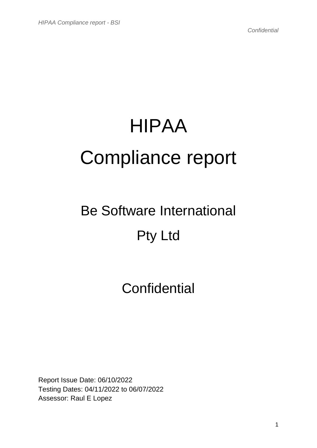# HIPAA Compliance report

## Be Software International Pty Ltd

### **Confidential**

Report Issue Date: 06/10/2022 Testing Dates: 04/11/2022 to 06/07/2022 Assessor: Raul E Lopez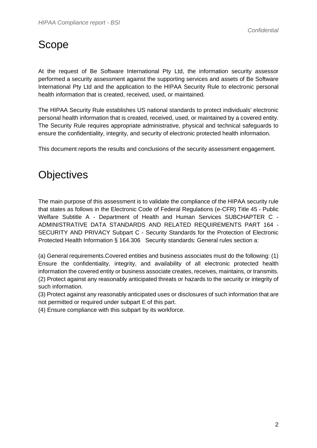#### Scope

At the request of Be Software International Pty Ltd, the information security assessor performed a security assessment against the supporting services and assets of Be Software International Pty Ltd and the application to the HIPAA Security Rule to electronic personal health information that is created, received, used, or maintained.

The HIPAA Security Rule establishes US national standards to protect individuals' electronic personal health information that is created, received, used, or maintained by a covered entity. The Security Rule requires appropriate administrative, physical and technical safeguards to ensure the confidentiality, integrity, and security of electronic protected health information.

This document reports the results and conclusions of the security assessment engagement.

#### **Objectives**

The main purpose of this assessment is to validate the compliance of the HIPAA security rule that states as follows in the Electronic Code of Federal Regulations (e-CFR) Title 45 - Public Welfare Subtitle A - Department of Health and Human Services SUBCHAPTER C - ADMINISTRATIVE DATA STANDARDS AND RELATED REQUIREMENTS PART 164 - SECURITY AND PRIVACY Subpart C - Security Standards for the Protection of Electronic Protected Health Information § 164.306 Security standards: General rules section a:

(a) General requirements.Covered entities and business associates must do the following: (1) Ensure the confidentiality, integrity, and availability of all electronic protected health information the covered entity or business associate creates, receives, maintains, or transmits. (2) Protect against any reasonably anticipated threats or hazards to the security or integrity of such information.

(3) Protect against any reasonably anticipated uses or disclosures of such information that are not permitted or required under subpart E of this part.

(4) Ensure compliance with this subpart by its workforce.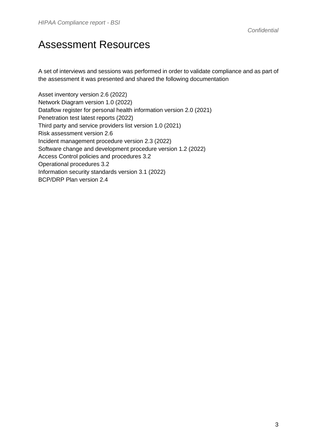#### Assessment Resources

A set of interviews and sessions was performed in order to validate compliance and as part of the assessment it was presented and shared the following documentation

Asset inventory version 2.6 (2022) Network Diagram version 1.0 (2022) Dataflow register for personal health information version 2.0 (2021) Penetration test latest reports (2022) Third party and service providers list version 1.0 (2021) Risk assessment version 2.6 Incident management procedure version 2.3 (2022) Software change and development procedure version 1.2 (2022) Access Control policies and procedures 3.2 Operational procedures 3.2 Information security standards version 3.1 (2022) BCP/DRP Plan version 2.4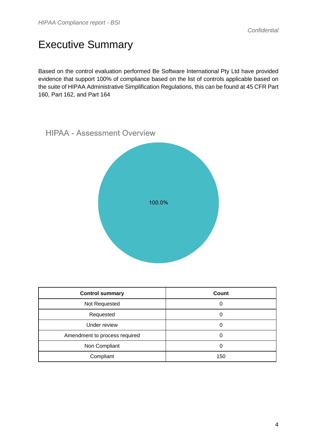#### Executive Summary

Based on the control evaluation performed Be Software International Pty Ltd have provided evidence that support 100% of compliance based on the list of controls applicable based on the suite of HIPAA Administrative Simplification Regulations, this can be found at 45 CFR Part 160, Part 162, and Part 164



| <b>Control summary</b>        | Count |
|-------------------------------|-------|
| Not Requested                 | 0     |
| Requested                     | 0     |
| Under review                  | 0     |
| Amendment to process required | O     |
| Non Compliant                 | 0     |
| Compliant                     | 150   |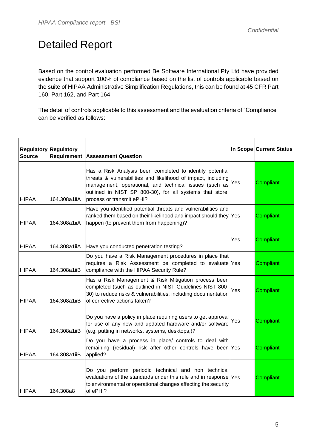#### Detailed Report

Based on the control evaluation performed Be Software International Pty Ltd have provided evidence that support 100% of compliance based on the list of controls applicable based on the suite of HIPAA Administrative Simplification Regulations, this can be found at 45 CFR Part 160, Part 162, and Part 164

The detail of controls applicable to this assessment and the evaluation criteria of "Compliance" can be verified as follows:

| <b>Source</b> | <b>Regulatory Regulatory</b> | <b>Requirement Assessment Question</b>                                                                                                                                                                                                                                       |     | In Scope Current Status |
|---------------|------------------------------|------------------------------------------------------------------------------------------------------------------------------------------------------------------------------------------------------------------------------------------------------------------------------|-----|-------------------------|
| <b>HIPAA</b>  | 164.308a1iiA                 | Has a Risk Analysis been completed to identify potential<br>threats & vulnerabilities and likelihood of impact, including<br>management, operational, and technical issues (such as<br>outlined in NIST SP 800-30), for all systems that store,<br>process or transmit ePHI? | Yes | <b>Compliant</b>        |
| <b>HIPAA</b>  | 164.308a1iiA                 | Have you identified potential threats and vulnerabilities and<br>ranked them based on their likelihood and impact should they Yes<br>happen (to prevent them from happening)?                                                                                                |     | <b>Compliant</b>        |
| <b>HIPAA</b>  | 164.308a1iiA                 | Have you conducted penetration testing?                                                                                                                                                                                                                                      | Yes | Compliant               |
| <b>HIPAA</b>  | 164.308a1iiB                 | Do you have a Risk Management procedures in place that<br>requires a Risk Assessment be completed to evaluate Yes<br>compliance with the HIPAA Security Rule?                                                                                                                |     | Compliant               |
| <b>HIPAA</b>  | 164.308a1iiB                 | Has a Risk Management & Risk Mitigation process been<br>completed (such as outlined in NIST Guidelines NIST 800-<br>30) to reduce risks & vulnerabilities, including documentation<br>of corrective actions taken?                                                           | Yes | <b>Compliant</b>        |
| <b>HIPAA</b>  | 164.308a1iiB                 | Do you have a policy in place requiring users to get approval<br>for use of any new and updated hardware and/or software<br>(e.g. putting in networks, systems, desktops,)?                                                                                                  | Yes | Compliant               |
| <b>HIPAA</b>  | 164.308a1iiB                 | Do you have a process in place/ controls to deal with<br>remaining (residual) risk after other controls have been Yes<br>applied?                                                                                                                                            |     | Compliant               |
| <b>HIPAA</b>  | 164.308a8                    | Do you perform periodic technical and non technical<br>evaluations of the standards under this rule and in response $\gamma_{\text{es}}$<br>to environmental or operational changes affecting the security<br>of ePHI?                                                       |     | <b>Compliant</b>        |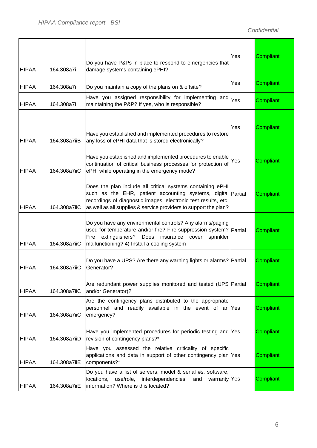| <b>HIPAA</b> | 164.308a7i   | Do you have P&Ps in place to respond to emergencies that<br>damage systems containing ePHI?                                                                                                                                                                      | Yes | Compliant        |
|--------------|--------------|------------------------------------------------------------------------------------------------------------------------------------------------------------------------------------------------------------------------------------------------------------------|-----|------------------|
| <b>HIPAA</b> | 164.308a7i   | Do you maintain a copy of the plans on & offsite?                                                                                                                                                                                                                | Yes | Compliant        |
| <b>HIPAA</b> | 164.308a7i   | Have you assigned responsibility for implementing and<br>maintaining the P&P? If yes, who is responsible?                                                                                                                                                        | Yes | <b>Compliant</b> |
| <b>HIPAA</b> | 164.308a7iiB | Have you established and implemented procedures to restore<br>any loss of ePHI data that is stored electronically?                                                                                                                                               | Yes | <b>Compliant</b> |
| <b>HIPAA</b> | 164.308a7iiC | Have you established and implemented procedures to enable<br>continuation of critical business processes for protection of<br>ePHI while operating in the emergency mode?                                                                                        | Yes | Compliant        |
| <b>HIPAA</b> | 164.308a7iiC | Does the plan include all critical systems containing ePHI<br>such as the EHR, patient accounting systems, digital Partial<br>recordings of diagnostic images, electronic test results, etc.<br>as well as all supplies & service providers to support the plan? |     | Compliant        |
| <b>HIPAA</b> | 164.308a7iiC | Do you have any environmental controls? Any alarms/paging<br>used for temperature and/or fire? Fire suppression system? Partial<br>extinguishers?<br>insurance cover<br>Fire<br>Does<br>sprinkler<br>malfunctioning? 4) Install a cooling system                 |     | Compliant        |
| <b>HIPAA</b> | 164.308a7iiC | Do you have a UPS? Are there any warning lights or alarms? Partial<br>Generator?                                                                                                                                                                                 |     | Compliant        |
| <b>HIPAA</b> | 164.308a7iiC | Are redundant power supplies monitored and tested (UPS Partial<br>and/or Generator)?                                                                                                                                                                             |     | Compliant        |
| <b>HIPAA</b> | 164.308a7iiC | Are the contingency plans distributed to the appropriate<br>personnel and readily available in the event of an Yes<br>emergency?                                                                                                                                 |     | Compliant        |
| <b>HIPAA</b> | 164.308a7iiD | Have you implemented procedures for periodic testing and Yes<br>revision of contingency plans?*                                                                                                                                                                  |     | Compliant        |
| <b>HIPAA</b> | 164.308a7iiE | Have you assessed the relative criticality of specific<br>applications and data in support of other contingency plan Yes<br>components?*                                                                                                                         |     | Compliant        |
| <b>HIPAA</b> | 164.308a7iiE | Do you have a list of servers, model & serial #s, software,<br>interdependencies,<br>use/role,<br>warranty Yes<br>locations,<br>and<br>information? Where is this located?                                                                                       |     | Compliant        |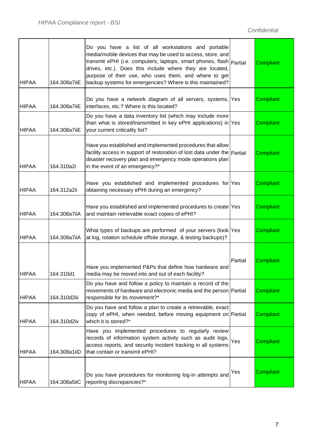| <b>HIPAA</b> | 164.308a7iiE | Do you have a list of all workstations and portable<br>media/mobile devices that may be used to access, store, and<br>transmit ePHI (i.e. computers, laptops, smart phones, flash   Partial<br>drives, etc.). Does this include where they are located,<br>purpose of their use, who uses them, and where to get<br>backup systems for emergencies? Where is this maintained? |         | Compliant        |
|--------------|--------------|-------------------------------------------------------------------------------------------------------------------------------------------------------------------------------------------------------------------------------------------------------------------------------------------------------------------------------------------------------------------------------|---------|------------------|
| <b>HIPAA</b> | 164.308a7iiE | Do you have a network diagram of all servers, systems, Yes<br>interfaces, etc.? Where is this located?                                                                                                                                                                                                                                                                        |         | Compliant        |
| <b>HIPAA</b> | 164.308a7iiE | Do you have a data inventory list (which may include more<br>than what is stored/transmitted in key ePHI applications) in Yes<br>your current criticality list?                                                                                                                                                                                                               |         | Compliant        |
| <b>HIPAA</b> | 164.310a2i   | Have you established and implemented procedures that allow<br>facility access in support of restoration of lost data under the Partial<br>disaster recovery plan and emergency mode operations plan<br>in the event of an emergency?*                                                                                                                                         |         | Compliant        |
| <b>HIPAA</b> | 164.312a2ii  | Have you established and implemented procedures for Yes<br>obtaining necessary ePHI during an emergency?                                                                                                                                                                                                                                                                      |         | Compliant        |
| <b>HIPAA</b> | 164.308a7iiA | Have you established and implemented procedures to create Yes<br>and maintain retrievable exact copies of ePHI?                                                                                                                                                                                                                                                               |         | Compliant        |
| <b>HIPAA</b> | 164.308a7iiA | What types of backups are performed of your servers (look Yes<br>at log, rotation schedule offsite storage, & testing backups)?                                                                                                                                                                                                                                               |         | Compliant        |
| <b>HIPAA</b> | 164.310d1    | Have you implemented P&Ps that define how hardware and<br>media may be moved into and out of each facility?                                                                                                                                                                                                                                                                   | Partial | <b>Compliant</b> |
| <b>HIPAA</b> | 164.310d2iii | Do you have and follow a policy to maintain a record of the<br>movements of hardware and electronic media and the person Partial<br>responsible for its movement?*                                                                                                                                                                                                            |         | <b>Compliant</b> |
| <b>HIPAA</b> | 164.310d2iv  | Do you have and follow a plan to create a retrievable, exact<br>copy of ePHI, when needed, before moving equipment on Partial<br>which it is stored?*                                                                                                                                                                                                                         |         | Compliant        |
| <b>HIPAA</b> | 164.308a1iiD | Have you implemented procedures to regularly review<br>records of information system activity such as audit logs,<br>access reports, and security incident tracking in all systems<br>that contain or transmit ePHI?                                                                                                                                                          | Yes     | <b>Compliant</b> |
| <b>HIPAA</b> | 164.308a5iiC | Do you have procedures for monitoring log-in attempts and<br>reporting discrepancies?*                                                                                                                                                                                                                                                                                        | Yes     | Compliant        |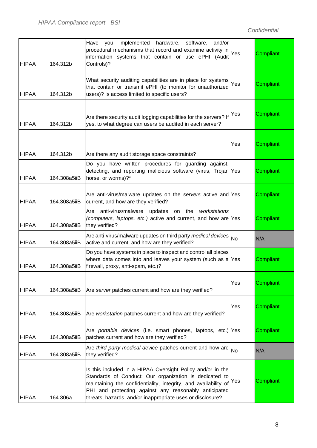| <b>HIPAA</b> | 164.312b     | Have you<br>implemented hardware, software, and/or<br>procedural mechanisms that record and examine activity in<br>information systems that contain or use ePHI (Audit<br>Controls)?                                                                                                                           | Yes       | <b>Compliant</b> |
|--------------|--------------|----------------------------------------------------------------------------------------------------------------------------------------------------------------------------------------------------------------------------------------------------------------------------------------------------------------|-----------|------------------|
| <b>HIPAA</b> | 164.312b     | What security auditing capabilities are in place for systems<br>that contain or transmit ePHI (to monitor for unauthorized<br>users)? Is access limited to specific users?                                                                                                                                     | Yes       | <b>Compliant</b> |
| <b>HIPAA</b> | 164.312b     | Are there security audit logging capabilities for the servers? If<br>yes, to what degree can users be audited in each server?                                                                                                                                                                                  | Yes       | Compliant        |
| <b>HIPAA</b> | 164.312b     | Are there any audit storage space constraints?                                                                                                                                                                                                                                                                 | Yes       | Compliant        |
| <b>HIPAA</b> | 164.308a5iiB | Do you have written procedures for guarding against,<br>detecting, and reporting malicious software (virus, Trojan Yes<br>horse, or worms)?*                                                                                                                                                                   |           | Compliant        |
| <b>HIPAA</b> | 164.308a5iiB | Are anti-virus/malware updates on the servers active and Yes<br>current, and how are they verified?                                                                                                                                                                                                            |           | Compliant        |
| <b>HIPAA</b> | 164.308a5iiB | anti-virus/malware updates<br>Are<br>the<br>workstations<br>on<br>(computers, laptops, etc.) active and current, and how are Yes<br>they verified?                                                                                                                                                             |           | Compliant        |
| <b>HIPAA</b> | 164.308a5iiB | Are anti-virus/malware updates on third party medical devices<br>active and current, and how are they verified?                                                                                                                                                                                                | <b>No</b> | N/A              |
| <b>HIPAA</b> | 164.308a5iiB | Do you have systems in place to inspect and control all places<br>where data comes into and leaves your system (such as a $Yes$<br>firewall, proxy, anti-spam, etc.)?                                                                                                                                          |           | Compliant        |
| <b>HIPAA</b> | 164.308a5iiB | Are server patches current and how are they verified?                                                                                                                                                                                                                                                          | Yes       | Compliant        |
| <b>HIPAA</b> | 164.308a5iiB | Are workstation patches current and how are they verified?                                                                                                                                                                                                                                                     | Yes       | Compliant        |
| <b>HIPAA</b> | 164.308a5iiB | Are portable devices (i.e. smart phones, laptops, etc.) Yes<br>patches current and how are they verified?                                                                                                                                                                                                      |           | Compliant        |
| <b>HIPAA</b> | 164.308a5iiB | Are third party medical device patches current and how are<br>they verified?                                                                                                                                                                                                                                   | <b>No</b> | N/A              |
| <b>HIPAA</b> | 164.306a     | Is this included in a HIPAA Oversight Policy and/or in the<br>Standards of Conduct: Our organization is dedicated to<br>maintaining the confidentiality, integrity, and availability of<br>PHI and protecting against any reasonably anticipated<br>threats, hazards, and/or inappropriate uses or disclosure? | Yes       | <b>Compliant</b> |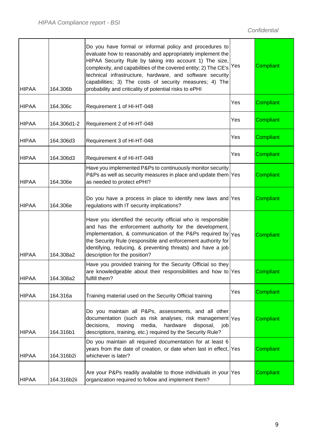| <b>HIPAA</b> | 164.306b    | Do you have formal or informal policy and procedures to<br>evaluate how to reasonably and appropriately implement the<br>HIPAA Security Rule by taking into account 1) The size,<br>complexity, and capabilities of the covered entity; 2) The CE's<br>technical infrastructure, hardware, and software security<br>capabilities; 3) The costs of security measures; 4) The<br>probability and criticality of potential risks to ePHI | Yes | Compliant        |
|--------------|-------------|---------------------------------------------------------------------------------------------------------------------------------------------------------------------------------------------------------------------------------------------------------------------------------------------------------------------------------------------------------------------------------------------------------------------------------------|-----|------------------|
| <b>HIPAA</b> | 164.306c    | Requirement 1 of HI-HT-048                                                                                                                                                                                                                                                                                                                                                                                                            | Yes | Compliant        |
| <b>HIPAA</b> | 164.306d1-2 | Requirement 2 of HI-HT-048                                                                                                                                                                                                                                                                                                                                                                                                            | Yes | Compliant        |
| <b>HIPAA</b> | 164.306d3   | Requirement 3 of HI-HT-048                                                                                                                                                                                                                                                                                                                                                                                                            | Yes | Compliant        |
| <b>HIPAA</b> | 164.306d3   | Requirement 4 of HI-HT-048                                                                                                                                                                                                                                                                                                                                                                                                            | Yes | Compliant        |
| <b>HIPAA</b> | 164.306e    | Have you implemented P&Ps to continuously monitor security<br>P&Ps as well as security measures in place and update them Yes<br>as needed to protect ePHI?                                                                                                                                                                                                                                                                            |     | <b>Compliant</b> |
| <b>HIPAA</b> | 164.306e    | Do you have a process in place to identify new laws and Yes<br>regulations with IT security implications?                                                                                                                                                                                                                                                                                                                             |     | Compliant        |
| <b>HIPAA</b> | 164.308a2   | Have you identified the security official who is responsible<br>and has the enforcement authority for the development,<br>implementation, & communication of the P&Ps required by $ Y_{\text{ES}} $<br>the Security Rule (responsible and enforcement authority for<br>identifying, reducing, & preventing threats) and have a job<br>description for the position?                                                                   |     | <b>Compliant</b> |
| <b>HIPAA</b> | 164.308a2   | Have you provided training for the Security Official so they<br>are knowledgeable about their responsibilities and how to Yes<br>fulfill them?                                                                                                                                                                                                                                                                                        |     | Compliant        |
| <b>HIPAA</b> | 164.316a    | Training material used on the Security Official training                                                                                                                                                                                                                                                                                                                                                                              | Yes | Compliant        |
| <b>HIPAA</b> | 164.316b1   | Do you maintain all P&Ps, assessments, and all other<br>documentation (such as risk analyses, risk management $ Y_{ES} $<br>moving<br>decisions,<br>media,<br>hardware<br>disposal,<br>job<br>descriptions, training, etc.) required by the Security Rule?                                                                                                                                                                            |     | <b>Compliant</b> |
| <b>HIPAA</b> | 164.316b2i  | Do you maintain all required documentation for at least 6<br>years from the date of creation, or date when last in effect, Yes<br>whichever is later?                                                                                                                                                                                                                                                                                 |     | Compliant        |
| <b>HIPAA</b> | 164.316b2ii | Are your P&Ps readily available to those individuals in your Yes<br>organization required to follow and implement them?                                                                                                                                                                                                                                                                                                               |     | Compliant        |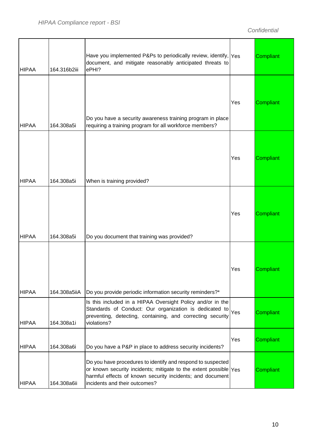| <b>HIPAA</b> | 164.316b2iii | Have you implemented P&Ps to periodically review, identify, Yes<br>document, and mitigate reasonably anticipated threats to<br>ePHI?                                                                                                           |     | <b>Compliant</b> |
|--------------|--------------|------------------------------------------------------------------------------------------------------------------------------------------------------------------------------------------------------------------------------------------------|-----|------------------|
| <b>HIPAA</b> | 164.308a5i   | Do you have a security awareness training program in place<br>requiring a training program for all workforce members?                                                                                                                          | Yes | <b>Compliant</b> |
| <b>HIPAA</b> | 164.308a5i   | When is training provided?                                                                                                                                                                                                                     | Yes | <b>Compliant</b> |
| <b>HIPAA</b> | 164.308a5i   | Do you document that training was provided?                                                                                                                                                                                                    | Yes | Compliant        |
| <b>HIPAA</b> | 164.308a5iiA | Do you provide periodic information security reminders?*                                                                                                                                                                                       | Yes | Compliant        |
| <b>HIPAA</b> | 164.308a1i   | Is this included in a HIPAA Oversight Policy and/or in the<br>Standards of Conduct: Our organization is dedicated to<br>preventing, detecting, containing, and correcting security<br>violations?                                              | Yes | Compliant        |
| <b>HIPAA</b> | 164.308a6i   | Do you have a P&P in place to address security incidents?                                                                                                                                                                                      | Yes | <b>Compliant</b> |
| <b>HIPAA</b> | 164.308a6ii  | Do you have procedures to identify and respond to suspected<br>or known security incidents; mitigate to the extent possible $\gamma_{\text{es}}$<br>harmful effects of known security incidents; and document<br>incidents and their outcomes? |     | <b>Compliant</b> |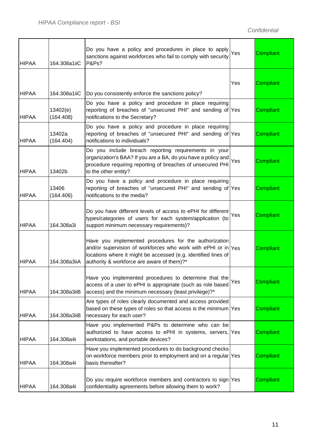| <b>HIPAA</b> | 164.308a1iiC          | Do you have a policy and procedures in place to apply<br>sanctions against workforces who fail to comply with security<br><b>P&amp;Ps?</b>                                                                                             | Yes | Compliant        |
|--------------|-----------------------|----------------------------------------------------------------------------------------------------------------------------------------------------------------------------------------------------------------------------------------|-----|------------------|
| <b>HIPAA</b> | 164.308a1iiC          | Do you consistently enforce the sanctions policy?                                                                                                                                                                                      | Yes | Compliant        |
| <b>HIPAA</b> | 13402(e)<br>(164.408) | Do you have a policy and procedure in place requiring<br>reporting of breaches of "unsecured PHI" and sending of Yes<br>notifications to the Secretary?                                                                                |     | Compliant        |
| <b>HIPAA</b> | 13402a<br>(164.404)   | Do you have a policy and procedure in place requiring<br>reporting of breaches of "unsecured PHI" and sending of Yes<br>notifications to individuals?                                                                                  |     | Compliant        |
| <b>HIPAA</b> | 13402b                | Do you include breach reporting requirements in your<br>organization's BAA? If you are a BA, do you have a policy and<br>procedure requiring reporting of breaches of unsecured PHI<br>to the other entity?                            | Yes | Compliant        |
| <b>HIPAA</b> | 13406<br>(164.406)    | Do you have a policy and procedure in place requiring<br>reporting of breaches of "unsecured PHI" and sending of Yes<br>notifications to the media?                                                                                    |     | Compliant        |
| <b>HIPAA</b> | 164.308a3i            | Do you have different levels of access to ePHI for different<br>types/categories of users for each system/application (to<br>support minimum necessary requirements)?                                                                  | Yes | Compliant        |
| <b>HIPAA</b> | 164.308a3iiA          | Have you implemented procedures for the authorization<br>and/or supervision of workforces who work with ePHI or in Yes<br>locations where it might be accessed (e.g. identified lines of<br>authority & workforce are aware of them)?* |     | Compliant        |
| <b>HIPAA</b> | 164.308a3iiB          | Have you implemented procedures to determine that the<br>access of a user to ePHI is appropriate (such as role based<br>access) and the minimum necessary (least privilege)?*                                                          | Yes | Compliant        |
| <b>HIPAA</b> | 164.308a3iiB          | Are types of roles clearly documented and access provided<br>based on these types of roles so that access is the minimum Yes<br>necessary for each user?                                                                               |     | <b>Compliant</b> |
| <b>HIPAA</b> | 164.308a4i            | Have you implemented P&Ps to determine who can be<br>authorized to have access to ePHI in systems, servers,  Yes<br>workstations, and portable devices?                                                                                |     | Compliant        |
| <b>HIPAA</b> | 164.308a4i            | Have you implemented procedures to do background checks<br>on workforce members prior to employment and on a regular Yes<br>basis thereafter?                                                                                          |     | Compliant        |
| <b>HIPAA</b> | 164.308a4i            | Do you require workforce members and contractors to sign Yes<br>confidentiality agreements before allowing them to work?                                                                                                               |     | Compliant        |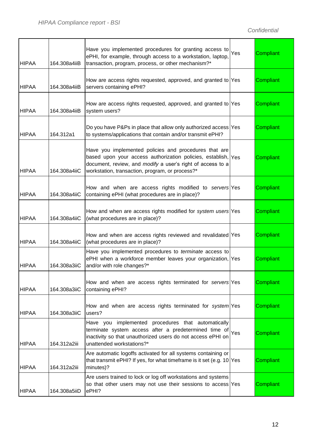| <b>HIPAA</b> | 164.308a4iiB | Have you implemented procedures for granting access to<br>ePHI, for example, through access to a workstation, laptop<br>transaction, program, process, or other mechanism?*                                                                       | Yes | Compliant |
|--------------|--------------|---------------------------------------------------------------------------------------------------------------------------------------------------------------------------------------------------------------------------------------------------|-----|-----------|
| <b>HIPAA</b> | 164.308a4iiB | How are access rights requested, approved, and granted to Yes<br>servers containing ePHI?                                                                                                                                                         |     | Compliant |
| <b>HIPAA</b> | 164.308a4iiB | How are access rights requested, approved, and granted to Yes<br>system users?                                                                                                                                                                    |     | Compliant |
| <b>HIPAA</b> | 164.312a1    | Do you have P&Ps in place that allow only authorized access Yes<br>to systems/applications that contain and/or transmit ePHI?                                                                                                                     |     | Compliant |
| <b>HIPAA</b> | 164.308a4iiC | Have you implemented policies and procedures that are<br>based upon your access authorization policies, establish, $\gamma_{es}$<br>document, review, and modify a user's right of access to a<br>workstation, transaction, program, or process?* |     | Compliant |
| <b>HIPAA</b> | 164.308a4iiC | How and when are access rights modified to servers Yes<br>containing ePHI (what procedures are in place)?                                                                                                                                         |     | Compliant |
| <b>HIPAA</b> | 164.308a4iiC | How and when are access rights modified for system users Yes<br>(what procedures are in place)?                                                                                                                                                   |     | Compliant |
| <b>HIPAA</b> | 164.308a4iiC | How and when are access rights reviewed and revalidated Yes<br>(what procedures are in place)?                                                                                                                                                    |     | Compliant |
| <b>HIPAA</b> | 164.308a3iiC | Have you implemented procedures to terminate access to<br>ePHI when a workforce member leaves your organization, Yes<br>and/or with role changes?*                                                                                                |     | Compliant |
| <b>HIPAA</b> | 164.308a3iiC | How and when are access rights terminated for servers Yes<br>containing ePHI?                                                                                                                                                                     |     | Compliant |
| <b>HIPAA</b> | 164.308a3iiC | How and when are access rights terminated for system Yes<br>users?                                                                                                                                                                                |     | Compliant |
| <b>HIPAA</b> | 164.312a2iii | Have you implemented procedures that automatically<br>terminate system access after a predetermined time of<br>inactivity so that unauthorized users do not access ePHI on<br>unattended workstations?*                                           | Yes | Compliant |
| <b>HIPAA</b> | 164.312a2iii | Are automatic logoffs activated for all systems containing or<br>that transmit ePHI? If yes, for what timeframe is it set (e.g. $10$ Yes<br>minutes)?                                                                                             |     | Compliant |
| <b>HIPAA</b> | 164.308a5iiD | Are users trained to lock or log off workstations and systems<br>so that other users may not use their sessions to access Yes<br>ePHI?                                                                                                            |     | Compliant |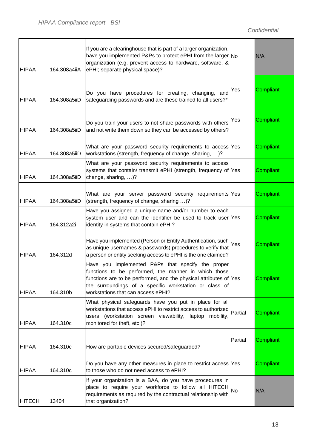| <b>HIPAA</b>  | 164.308a4iiA | If you are a clearinghouse that is part of a larger organization,<br>have you implemented P&Ps to protect ePHI from the larger $N_0$<br>organization (e.g. prevent access to hardware, software, &<br>ePHI; separate physical space)?                                          |           | N/A              |
|---------------|--------------|--------------------------------------------------------------------------------------------------------------------------------------------------------------------------------------------------------------------------------------------------------------------------------|-----------|------------------|
| <b>HIPAA</b>  | 164.308a5iiD | Do you have procedures for creating, changing, and<br>safeguarding passwords and are these trained to all users?*                                                                                                                                                              | Yes       | <b>Compliant</b> |
| <b>HIPAA</b>  | 164.308a5iiD | Do you train your users to not share passwords with others<br>and not write them down so they can be accessed by others?                                                                                                                                                       | Yes       | Compliant        |
| <b>HIPAA</b>  | 164.308a5iiD | What are your password security requirements to access Yes<br>workstations (strength, frequency of change, sharing, )?                                                                                                                                                         |           | Compliant        |
| <b>HIPAA</b>  | 164.308a5iiD | What are your password security requirements to access<br>systems that contain/ transmit ePHI (strength, frequency of Yes<br>change, sharing, )?                                                                                                                               |           | Compliant        |
| <b>HIPAA</b>  | 164.308a5iiD | What are your server password security requirements Yes<br>(strength, frequency of change, sharing )?                                                                                                                                                                          |           | Compliant        |
| <b>HIPAA</b>  | 164.312a2i   | Have you assigned a unique name and/or number to each<br>system user and can the identifier be used to track user Yes<br>identity in systems that contain ePHI?                                                                                                                |           | Compliant        |
| <b>HIPAA</b>  | 164.312d     | Have you implemented (Person or Entity Authentication, such<br>as unique usernames & passwords) procedures to verify that<br>a person or entity seeking access to ePHI is the one claimed?                                                                                     | Yes       | Compliant        |
| <b>HIPAA</b>  | 164.310b     | Have you implemented P&Ps that specify the proper<br>functions to be performed, the manner in which those<br>functions are to be performed, and the physical attributes of Yes<br>the surroundings of a specific workstation or class of<br>workstations that can access ePHI? |           | <b>Compliant</b> |
| <b>HIPAA</b>  | 164.310c     | What physical safeguards have you put in place for all<br>workstations that access ePHI to restrict access to authorized<br>users (workstation screen viewability, laptop<br>mobility,<br>monitored for theft, etc.)?                                                          | Partial   | <b>Compliant</b> |
| <b>HIPAA</b>  | 164.310c     | How are portable devices secured/safeguarded?                                                                                                                                                                                                                                  | Partial   | Compliant        |
| <b>HIPAA</b>  | 164.310c     | Do you have any other measures in place to restrict access Yes<br>to those who do not need access to ePHI?                                                                                                                                                                     |           | <b>Compliant</b> |
| <b>HITECH</b> | 13404        | If your organization is a BAA, do you have procedures in<br>place to require your workforce to follow all HITECH<br>requirements as required by the contractual relationship with<br>that organization?                                                                        | <b>No</b> | N/A              |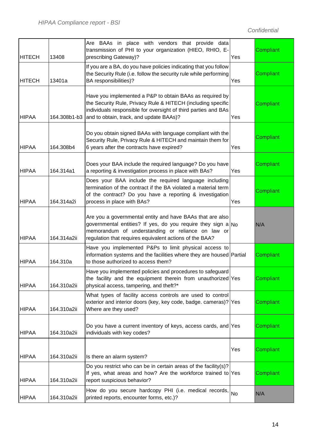| <b>HITECH</b> | 13408        | Are BAAs in place with vendors that provide data<br>transmission of PHI to your organization (HIEO, RHIO, E-<br>prescribing Gateway)?                                                                                                        | Yes | Compliant |
|---------------|--------------|----------------------------------------------------------------------------------------------------------------------------------------------------------------------------------------------------------------------------------------------|-----|-----------|
| <b>HITECH</b> | 13401a       | If you are a BA, do you have policies indicating that you follow<br>the Security Rule (i.e. follow the security rule while performing<br>BA responsibilities)?                                                                               | Yes | Compliant |
| <b>HIPAA</b>  | 164.308b1-b3 | Have you implemented a P&P to obtain BAAs as required by<br>the Security Rule, Privacy Rule & HITECH (including specific<br>individuals responsible for oversight of third parties and BAs<br>and to obtain, track, and update BAAs)?        | Yes | Compliant |
| <b>HIPAA</b>  | 164.308b4    | Do you obtain signed BAAs with language compliant with the<br>Security Rule, Privacy Rule & HITECH and maintain them for<br>6 years after the contracts have expired?                                                                        | Yes | Compliant |
| <b>HIPAA</b>  | 164.314a1    | Does your BAA include the required language? Do you have<br>a reporting & investigation process in place with BAs?                                                                                                                           | Yes | Compliant |
| <b>HIPAA</b>  | 164.314a2i   | Does your BAA include the required language including<br>termination of the contract if the BA violated a material term<br>of the contract? Do you have a reporting & investigation<br>process in place with BAs?                            | Yes | Compliant |
| <b>HIPAA</b>  | 164.314a2ii  | Are you a governmental entity and have BAAs that are also<br>governmental entities? If yes, do you require they sign a $N_0$<br>memorandum of understanding or reliance on law or<br>regulation that requires equivalent actions of the BAA? |     | N/A       |
| <b>HIPAA</b>  | 164.310a     | Have you implemented P&Ps to limit physical access to<br>information systems and the facilities where they are housed Partial<br>to those authorized to access them?                                                                         |     | Compliant |
| <b>HIPAA</b>  | 164.310a2ii  | Have you implemented policies and procedures to safeguard<br>the facility and the equipment therein from unauthorized Yes<br>physical access, tampering, and theft?*                                                                         |     | Compliant |
| <b>HIPAA</b>  | 164.310a2ii  | What types of facility access controls are used to control<br>exterior and interior doors (key, key code, badge. cameras)? Yes<br>Where are they used?                                                                                       |     | Compliant |
| <b>HIPAA</b>  | 164.310a2ii  | Do you have a current inventory of keys, access cards, and Yes<br>individuals with key codes?                                                                                                                                                |     | Compliant |
| <b>HIPAA</b>  | 164.310a2ii  | Is there an alarm system?                                                                                                                                                                                                                    | Yes | Compliant |
| <b>HIPAA</b>  | 164.310a2ii  | Do you restrict who can be in certain areas of the facility(s)?<br>If yes, what areas and how? Are the workforce trained to Yes<br>report suspicious behavior?                                                                               |     | Compliant |
| <b>HIPAA</b>  | 164.310a2ii  | How do you secure hardcopy PHI (i.e. medical records, No<br>printed reports, encounter forms, etc.)?                                                                                                                                         |     | N/A       |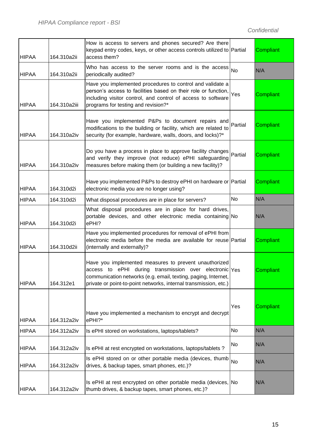| <b>HIPAA</b> | 164.310a2ii  | How is access to servers and phones secured? Are there<br>keypad entry codes, keys, or other access controls utilized to Partial<br>access them?                                                                                                      |         | Compliant        |
|--------------|--------------|-------------------------------------------------------------------------------------------------------------------------------------------------------------------------------------------------------------------------------------------------------|---------|------------------|
| <b>HIPAA</b> | 164.310a2ii  | Who has access to the server rooms and is the access $ _{\text{No}}$<br>periodically audited?                                                                                                                                                         |         | N/A              |
| <b>HIPAA</b> | 164.310a2iii | Have you implemented procedures to control and validate a<br>person's access to facilities based on their role or function,<br>including visitor control, and control of access to software<br>programs for testing and revision?*                    | Yes     | Compliant        |
| <b>HIPAA</b> | 164.310a2iv  | Have you implemented P&Ps to document repairs and<br>modifications to the building or facility, which are related to<br>security (for example, hardware, walls, doors, and locks)?*                                                                   | Partial | <b>Compliant</b> |
| <b>HIPAA</b> | 164.310a2iv  | Do you have a process in place to approve facility changes<br>and verify they improve (not reduce) ePHI safeguarding<br>measures before making them (or building a new facility)?                                                                     | Partial | <b>Compliant</b> |
| <b>HIPAA</b> | 164.310d2i   | Have you implemented P&Ps to destroy ePHI on hardware or Partial<br>electronic media you are no longer using?                                                                                                                                         |         | <b>Compliant</b> |
| <b>HIPAA</b> | 164.310d2i   | What disposal procedures are in place for servers?                                                                                                                                                                                                    | No      | N/A              |
| <b>HIPAA</b> | 164.310d2i   | What disposal procedures are in place for hard drives,<br>portable devices, and other electronic media containing No<br>ePHI?                                                                                                                         |         | N/A              |
| <b>HIPAA</b> | 164.310d2ii  | Have you implemented procedures for removal of ePHI from<br>electronic media before the media are available for reuse Partial<br>(internally and externally)?                                                                                         |         | <b>Compliant</b> |
| <b>HIPAA</b> | 164.312e1    | Have you implemented measures to prevent unauthorized<br>access to ePHI during transmission over electronic Yes<br>communication networks (e.g. email, texting, paging, Internet,<br>private or point-to-point networks, internal transmission, etc.) |         | Compliant        |
| <b>HIPAA</b> | 164.312a2iv  | Have you implemented a mechanism to encrypt and decrypt<br>ePHI?*                                                                                                                                                                                     | Yes     | Compliant        |
| <b>HIPAA</b> | 164.312a2iv  | Is ePHI stored on workstations, laptops/tablets?                                                                                                                                                                                                      | No      | N/A              |
| <b>HIPAA</b> | 164.312a2iv  | Is ePHI at rest encrypted on workstations, laptops/tablets ?                                                                                                                                                                                          | No      | N/A              |
| <b>HIPAA</b> | 164.312a2iv  | Is ePHI stored on or other portable media (devices, thumb<br>drives, & backup tapes, smart phones, etc.)?                                                                                                                                             | No      | N/A              |
| <b>HIPAA</b> | 164.312a2iv  | Is ePHI at rest encrypted on other portable media (devices, No<br>thumb drives, & backup tapes, smart phones, etc.)?                                                                                                                                  |         | N/A              |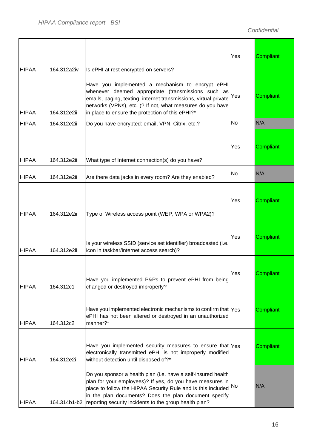| <b>HIPAA</b> | 164.312a2iv  | Is ePHI at rest encrypted on servers?                                                                                                                                                                                                                                                                         | Yes | Compliant |
|--------------|--------------|---------------------------------------------------------------------------------------------------------------------------------------------------------------------------------------------------------------------------------------------------------------------------------------------------------------|-----|-----------|
| <b>HIPAA</b> | 164.312e2ii  | Have you implemented a mechanism to encrypt ePHI<br>whenever deemed appropriate (transmissions such as<br>emails, paging, texting, internet transmissions, virtual private<br>networks (VPNs), etc. )? If not, what measures do you have<br>in place to ensure the protection of this ePHI?*                  | Yes | Compliant |
| <b>HIPAA</b> | 164.312e2ii  | Do you have encrypted: email, VPN, Citrix, etc.?                                                                                                                                                                                                                                                              | No  | N/A       |
| <b>HIPAA</b> | 164.312e2ii  | What type of Internet connection(s) do you have?                                                                                                                                                                                                                                                              | Yes | Compliant |
| <b>HIPAA</b> | 164.312e2ii  | Are there data jacks in every room? Are they enabled?                                                                                                                                                                                                                                                         | No  | N/A       |
| <b>HIPAA</b> | 164.312e2ii  | Type of Wireless access point (WEP, WPA or WPA2)?                                                                                                                                                                                                                                                             | Yes | Compliant |
| <b>HIPAA</b> | 164.312e2ii  | Is your wireless SSID (service set identifier) broadcasted (i.e.<br>icon in taskbar/internet access search)?                                                                                                                                                                                                  | Yes | Compliant |
| <b>HIPAA</b> | 164.312c1    | Have you implemented P&Ps to prevent ePHI from being<br>changed or destroyed improperly?                                                                                                                                                                                                                      | Yes | Compliant |
| <b>HIPAA</b> | 164.312c2    | Have you implemented electronic mechanisms to confirm that $\gamma_{\rm e s}$<br>ePHI has not been altered or destroyed in an unauthorized<br>manner?*                                                                                                                                                        |     | Compliant |
| <b>HIPAA</b> | 164.312e2i   | Have you implemented security measures to ensure that $\gamma_{\text{es}}$<br>electronically transmitted ePHI is not improperly modified<br>without detection until disposed of?*                                                                                                                             |     | Compliant |
| <b>HIPAA</b> | 164.314b1-b2 | Do you sponsor a health plan (i.e. have a self-insured health<br>plan for your employees)? If yes, do you have measures in<br>place to follow the HIPAA Security Rule and is this included<br>in the plan documents? Does the plan document specify<br>reporting security incidents to the group health plan? | No  | N/A       |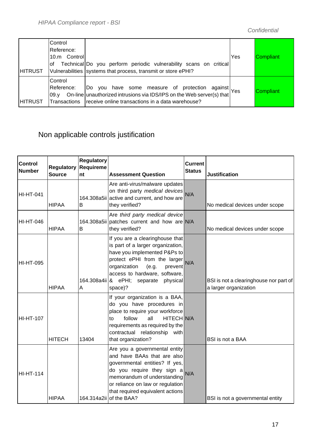| <b>HITRUST</b> | Control<br>Reference:<br>10.m Control<br>of | Technical Do you perform periodic vulnerability scans on critical<br>Vulnerabilities systems that process, transmit or store ePHI?                                                           | Yes | Compliant |
|----------------|---------------------------------------------|----------------------------------------------------------------------------------------------------------------------------------------------------------------------------------------------|-----|-----------|
| <b>HITRUST</b> | Control<br>Reference:<br>09.v               | Do you have some measure of protection against Yes<br>On-line unauthorized intrusions via IDS/IPS on the Web server(s) that<br>Transactions receive online transactions in a data warehouse? |     | Compliant |

#### Non applicable controls justification

| <b>Control</b><br><b>Number</b> | <b>Regulatory</b><br><b>Source</b> | <b>Regulatory</b><br>Requireme<br>nt | <b>Assessment Question</b>                                                                                                                                                                                                                                       | <b>Current</b><br><b>Status</b> | <b>Justification</b>                                            |
|---------------------------------|------------------------------------|--------------------------------------|------------------------------------------------------------------------------------------------------------------------------------------------------------------------------------------------------------------------------------------------------------------|---------------------------------|-----------------------------------------------------------------|
| <b>HI-HT-041</b>                | <b>HIPAA</b>                       | B                                    | Are anti-virus/malware updates<br>on third party medical devices N/A<br>164.308a5ii active and current, and how are<br>they verified?                                                                                                                            |                                 | No medical devices under scope                                  |
| <b>HI-HT-046</b>                | <b>HIPAA</b>                       | B                                    | Are third party medical device<br>164.308a5ii patches current and how are N/A<br>they verified?                                                                                                                                                                  |                                 | No medical devices under scope                                  |
| <b>HI-HT-095</b>                | <b>HIPAA</b>                       | A                                    | If you are a clearinghouse that<br>is part of a larger organization,<br>have you implemented P&Ps to<br>protect ePHI from the larger<br>organization<br>(e.g.<br>prevent<br>access to hardware, software,<br>164.308a4ii 8 ePHI; separate<br>physical<br>space)? | N/A                             | BSI is not a clearinghouse nor part of<br>a larger organization |
| <b>HI-HT-107</b>                | <b>HITECH</b>                      | 13404                                | If your organization is a BAA,<br>do you have procedures in<br>place to require your workforce<br>HITECH N/A<br>follow<br>all<br>to<br>requirements as required by the<br>contractual relationship with<br>that organization?                                    |                                 | <b>BSI</b> is not a BAA                                         |
| <b>HI-HT-114</b>                | <b>HIPAA</b>                       |                                      | Are you a governmental entity<br>and have BAAs that are also<br>governmental entities? If yes,<br>do you require they sign a<br>memorandum of understanding<br>or reliance on law or regulation<br>that required equivalent actions<br>164.314a2ii of the BAA?   | N/A                             | BSI is not a governmental entity                                |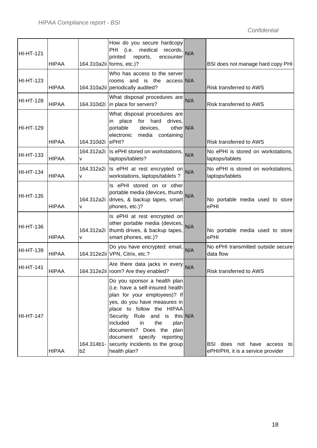| <b>HI-HT-121</b> | <b>HIPAA</b> |                              | How do you secure hardcopy<br>PHI (i.e. medical<br>records,  N/A<br>printed<br>reports,<br>encounter<br>164.310a2ii forms, etc.)?                                                                                                                                                                                                      |          | BSI does not manage hard copy PHI                                    |
|------------------|--------------|------------------------------|----------------------------------------------------------------------------------------------------------------------------------------------------------------------------------------------------------------------------------------------------------------------------------------------------------------------------------------|----------|----------------------------------------------------------------------|
| <b>HI-HT-123</b> | <b>HIPAA</b> |                              | Who has access to the server<br>rooms and is the access N/A<br>164.310a2ii periodically audited?                                                                                                                                                                                                                                       |          | Risk transferred to AWS                                              |
| <b>HI-HT-128</b> | <b>HIPAA</b> | 164.310d2i                   | What disposal procedures are N/A<br>in place for servers?                                                                                                                                                                                                                                                                              |          | Risk transferred to AWS                                              |
| <b>HI-HT-129</b> | <b>HIPAA</b> | 164.310d2i                   | What disposal procedures are<br>for hard<br>place<br>drives,<br>in<br>other N/A<br>portable<br>devices,<br>electronic media containing<br>ePHI?                                                                                                                                                                                        |          | Risk transferred to AWS                                              |
| <b>HI-HT-133</b> | <b>HIPAA</b> | v                            | 164.312a2i Is ePHI stored on workstations, N/A<br>laptops/tablets?                                                                                                                                                                                                                                                                     |          | No ePHI is stored on workstations,<br>laptops/tablets                |
| <b>HI-HT-134</b> | <b>HIPAA</b> | 164.312a2i<br>v              | Is ePHI at rest encrypted on N/A<br>workstations, laptops/tablets ?                                                                                                                                                                                                                                                                    |          | No ePHI is stored on workstations,<br>laptops/tablets                |
| <b>HI-HT-135</b> | <b>HIPAA</b> | 164.312a2i<br>v              | Is ePHI stored on or other<br>portable media (devices, thumb $N/A$<br>drives, & backup tapes, smart<br>phones, etc.)?                                                                                                                                                                                                                  |          | No portable media used to store<br>ePHI                              |
| <b>HI-HT-136</b> | <b>HIPAA</b> | 164.312a2i<br>v              | Is ePHI at rest encrypted on<br>other portable media (devices, N/A<br>thumb drives, & backup tapes,<br>smart phones, etc.)?                                                                                                                                                                                                            |          | No portable media used to store<br>ePHI                              |
| <b>HI-HT-139</b> | <b>HIPAA</b> |                              | Do you have encrypted: email, N/A<br>164.312e2ii VPN, Citrix, etc.?                                                                                                                                                                                                                                                                    |          | No ePHI transmitted outside secure<br>data flow                      |
| <b>HI-HT-141</b> | <b>HIPAA</b> |                              | Are there data jacks in every $N/A$<br>164.312e2ii room? Are they enabled?                                                                                                                                                                                                                                                             |          | Risk transferred to AWS                                              |
| <b>HI-HT-147</b> | <b>HIPAA</b> | 164.314b1-<br>b <sub>2</sub> | Do you sponsor a health plan<br>(i.e. have a self-insured health<br>plan for your employees)? If<br>yes, do you have measures in<br>place to follow the HIPAA<br>Security Rule and is<br>included<br>the<br>in<br>plan<br>documents? Does the plan<br>document specify<br>reporting<br>security incidents to the group<br>health plan? | this N/A | BSI does not have access<br>to<br>ePHI/PHI, it is a service provider |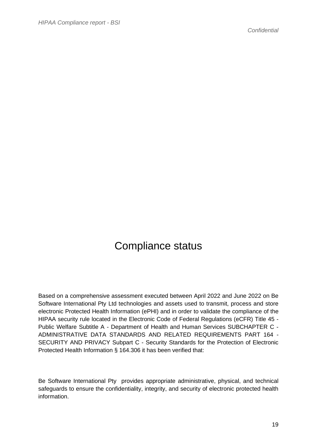#### Compliance status

Based on a comprehensive assessment executed between April 2022 and June 2022 on Be Software International Pty Ltd technologies and assets used to transmit, process and store electronic Protected Health Information (ePHI) and in order to validate the compliance of the HIPAA security rule located in the Electronic Code of Federal Regulations (eCFR) Title 45 - Public Welfare Subtitle A - Department of Health and Human Services SUBCHAPTER C - ADMINISTRATIVE DATA STANDARDS AND RELATED REQUIREMENTS PART 164 - SECURITY AND PRIVACY Subpart C - Security Standards for the Protection of Electronic Protected Health Information § 164.306 it has been verified that:

Be Software International Pty provides appropriate administrative, physical, and technical safeguards to ensure the confidentiality, integrity, and security of electronic protected health information.